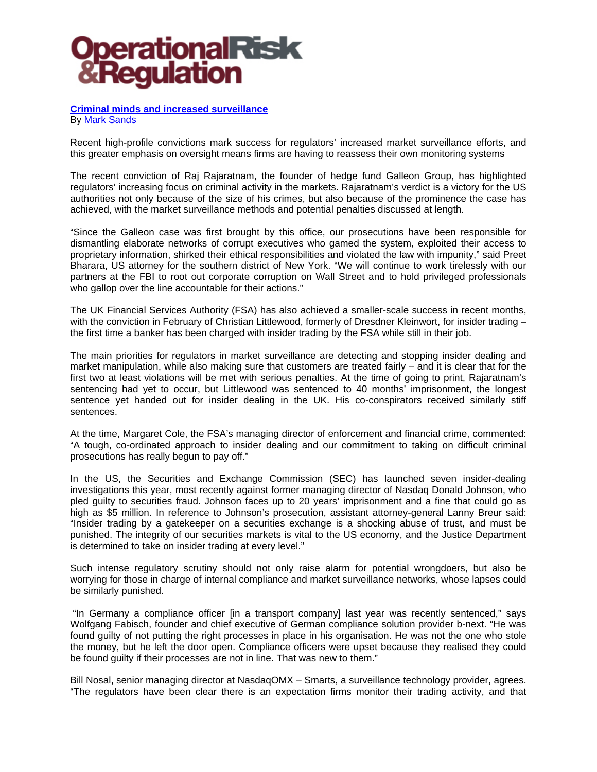#### **Criminal minds and increased surveillance** By Mark Sands

Recent high-profile convictions mark success for regulators' increased market surveillance efforts, and this greater emphasis on oversight means firms are having to reassess their own monitoring systems

The recent conviction of Raj Rajaratnam, the founder of hedge fund Galleon Group, has highlighted regulators' increasing focus on criminal activity in the markets. Rajaratnam's verdict is a victory for the US authorities not only because of the size of his crimes, but also because of the prominence the case has achieved, with the market surveillance methods and potential penalties discussed at length.

"Since the Galleon case was first brought by this office, our prosecutions have been responsible for dismantling elaborate networks of corrupt executives who gamed the system, exploited their access to proprietary information, shirked their ethical responsibilities and violated the law with impunity," said Preet Bharara, US attorney for the southern district of New York. "We will continue to work tirelessly with our partners at the FBI to root out corporate corruption on Wall Street and to hold privileged professionals who gallop over the line accountable for their actions."

The UK Financial Services Authority (FSA) has also achieved a smaller-scale success in recent months, with the conviction in February of Christian Littlewood, formerly of Dresdner Kleinwort, for insider trading the first time a banker has been charged with insider trading by the FSA while still in their job.

The main priorities for regulators in market surveillance are detecting and stopping insider dealing and market manipulation, while also making sure that customers are treated fairly – and it is clear that for the first two at least violations will be met with serious penalties. At the time of going to print, Rajaratnam's sentencing had yet to occur, but Littlewood was sentenced to 40 months' imprisonment, the longest sentence yet handed out for insider dealing in the UK. His co-conspirators received similarly stiff sentences.

At the time, Margaret Cole, the FSA's managing director of enforcement and financial crime, commented: "A tough, co-ordinated approach to insider dealing and our commitment to taking on difficult criminal prosecutions has really begun to pay off."

In the US, the Securities and Exchange Commission (SEC) has launched seven insider-dealing investigations this year, most recently against former managing director of Nasdaq Donald Johnson, who pled guilty to securities fraud. Johnson faces up to 20 years' imprisonment and a fine that could go as high as \$5 million. In reference to Johnson's prosecution, assistant attorney-general Lanny Breur said: "Insider trading by a gatekeeper on a securities exchange is a shocking abuse of trust, and must be punished. The integrity of our securities markets is vital to the US economy, and the Justice Department is determined to take on insider trading at every level."

Such intense regulatory scrutiny should not only raise alarm for potential wrongdoers, but also be worrying for those in charge of internal compliance and market surveillance networks, whose lapses could be similarly punished.

 "In Germany a compliance officer [in a transport company] last year was recently sentenced," says Wolfgang Fabisch, founder and chief executive of German compliance solution provider b-next. "He was found guilty of not putting the right processes in place in his organisation. He was not the one who stole the money, but he left the door open. Compliance officers were upset because they realised they could be found guilty if their processes are not in line. That was new to them."

Bill Nosal, senior managing director at NasdaqOMX – Smarts, a surveillance technology provider, agrees. "The regulators have been clear there is an expectation firms monitor their trading activity, and that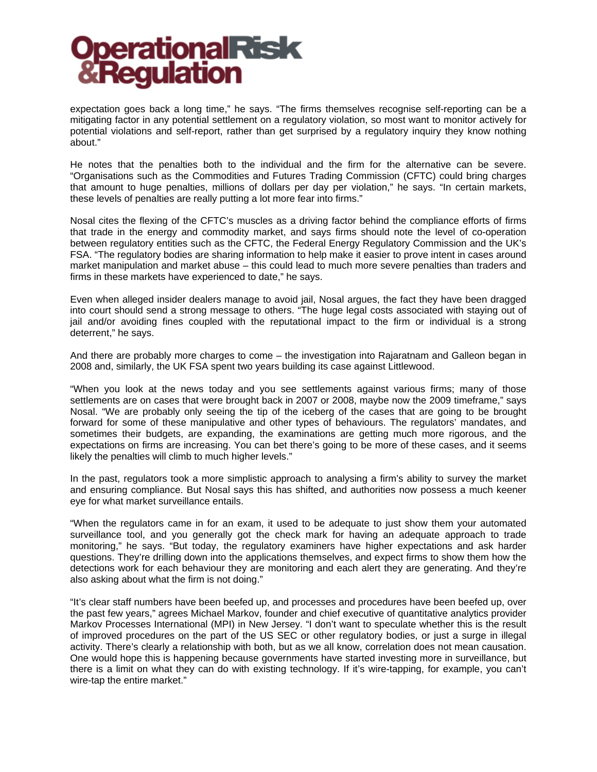expectation goes back a long time," he says. "The firms themselves recognise self-reporting can be a mitigating factor in any potential settlement on a regulatory violation, so most want to monitor actively for potential violations and self-report, rather than get surprised by a regulatory inquiry they know nothing about."

He notes that the penalties both to the individual and the firm for the alternative can be severe. "Organisations such as the Commodities and Futures Trading Commission (CFTC) could bring charges that amount to huge penalties, millions of dollars per day per violation," he says. "In certain markets, these levels of penalties are really putting a lot more fear into firms."

Nosal cites the flexing of the CFTC's muscles as a driving factor behind the compliance efforts of firms that trade in the energy and commodity market, and says firms should note the level of co-operation between regulatory entities such as the CFTC, the Federal Energy Regulatory Commission and the UK's FSA. "The regulatory bodies are sharing information to help make it easier to prove intent in cases around market manipulation and market abuse – this could lead to much more severe penalties than traders and firms in these markets have experienced to date," he says.

Even when alleged insider dealers manage to avoid jail, Nosal argues, the fact they have been dragged into court should send a strong message to others. "The huge legal costs associated with staying out of jail and/or avoiding fines coupled with the reputational impact to the firm or individual is a strong deterrent," he says.

And there are probably more charges to come – the investigation into Rajaratnam and Galleon began in 2008 and, similarly, the UK FSA spent two years building its case against Littlewood.

"When you look at the news today and you see settlements against various firms; many of those settlements are on cases that were brought back in 2007 or 2008, maybe now the 2009 timeframe," says Nosal. "We are probably only seeing the tip of the iceberg of the cases that are going to be brought forward for some of these manipulative and other types of behaviours. The regulators' mandates, and sometimes their budgets, are expanding, the examinations are getting much more rigorous, and the expectations on firms are increasing. You can bet there's going to be more of these cases, and it seems likely the penalties will climb to much higher levels."

In the past, regulators took a more simplistic approach to analysing a firm's ability to survey the market and ensuring compliance. But Nosal says this has shifted, and authorities now possess a much keener eye for what market surveillance entails.

"When the regulators came in for an exam, it used to be adequate to just show them your automated surveillance tool, and you generally got the check mark for having an adequate approach to trade monitoring," he says. "But today, the regulatory examiners have higher expectations and ask harder questions. They're drilling down into the applications themselves, and expect firms to show them how the detections work for each behaviour they are monitoring and each alert they are generating. And they're also asking about what the firm is not doing."

"It's clear staff numbers have been beefed up, and processes and procedures have been beefed up, over the past few years," agrees Michael Markov, founder and chief executive of quantitative analytics provider Markov Processes International (MPI) in New Jersey. "I don't want to speculate whether this is the result of improved procedures on the part of the US SEC or other regulatory bodies, or just a surge in illegal activity. There's clearly a relationship with both, but as we all know, correlation does not mean causation. One would hope this is happening because governments have started investing more in surveillance, but there is a limit on what they can do with existing technology. If it's wire-tapping, for example, you can't wire-tap the entire market."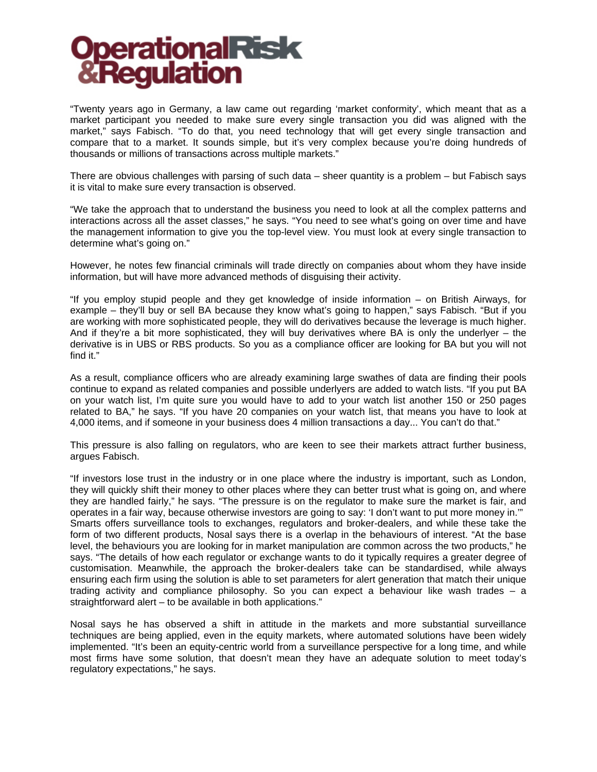"Twenty years ago in Germany, a law came out regarding 'market conformity', which meant that as a market participant you needed to make sure every single transaction you did was aligned with the market," says Fabisch. "To do that, you need technology that will get every single transaction and compare that to a market. It sounds simple, but it's very complex because you're doing hundreds of thousands or millions of transactions across multiple markets."

There are obvious challenges with parsing of such data – sheer quantity is a problem – but Fabisch says it is vital to make sure every transaction is observed.

"We take the approach that to understand the business you need to look at all the complex patterns and interactions across all the asset classes," he says. "You need to see what's going on over time and have the management information to give you the top-level view. You must look at every single transaction to determine what's going on."

However, he notes few financial criminals will trade directly on companies about whom they have inside information, but will have more advanced methods of disguising their activity.

"If you employ stupid people and they get knowledge of inside information – on British Airways, for example – they'll buy or sell BA because they know what's going to happen," says Fabisch. "But if you are working with more sophisticated people, they will do derivatives because the leverage is much higher. And if they're a bit more sophisticated, they will buy derivatives where BA is only the underlyer – the derivative is in UBS or RBS products. So you as a compliance officer are looking for BA but you will not find it."

As a result, compliance officers who are already examining large swathes of data are finding their pools continue to expand as related companies and possible underlyers are added to watch lists. "If you put BA on your watch list, I'm quite sure you would have to add to your watch list another 150 or 250 pages related to BA," he says. "If you have 20 companies on your watch list, that means you have to look at 4,000 items, and if someone in your business does 4 million transactions a day... You can't do that."

This pressure is also falling on regulators, who are keen to see their markets attract further business, argues Fabisch.

"If investors lose trust in the industry or in one place where the industry is important, such as London, they will quickly shift their money to other places where they can better trust what is going on, and where they are handled fairly," he says. "The pressure is on the regulator to make sure the market is fair, and operates in a fair way, because otherwise investors are going to say: 'I don't want to put more money in.'" Smarts offers surveillance tools to exchanges, regulators and broker-dealers, and while these take the form of two different products, Nosal says there is a overlap in the behaviours of interest. "At the base level, the behaviours you are looking for in market manipulation are common across the two products," he says. "The details of how each regulator or exchange wants to do it typically requires a greater degree of customisation. Meanwhile, the approach the broker-dealers take can be standardised, while always ensuring each firm using the solution is able to set parameters for alert generation that match their unique trading activity and compliance philosophy. So you can expect a behaviour like wash trades – a straightforward alert – to be available in both applications."

Nosal says he has observed a shift in attitude in the markets and more substantial surveillance techniques are being applied, even in the equity markets, where automated solutions have been widely implemented. "It's been an equity-centric world from a surveillance perspective for a long time, and while most firms have some solution, that doesn't mean they have an adequate solution to meet today's regulatory expectations," he says.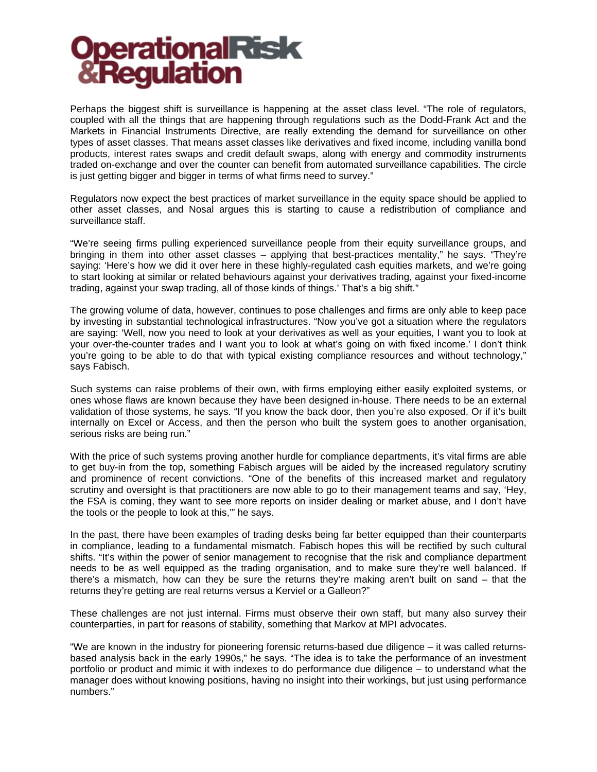Perhaps the biggest shift is surveillance is happening at the asset class level. "The role of regulators, coupled with all the things that are happening through regulations such as the Dodd-Frank Act and the Markets in Financial Instruments Directive, are really extending the demand for surveillance on other types of asset classes. That means asset classes like derivatives and fixed income, including vanilla bond products, interest rates swaps and credit default swaps, along with energy and commodity instruments traded on-exchange and over the counter can benefit from automated surveillance capabilities. The circle is just getting bigger and bigger in terms of what firms need to survey."

Regulators now expect the best practices of market surveillance in the equity space should be applied to other asset classes, and Nosal argues this is starting to cause a redistribution of compliance and surveillance staff.

"We're seeing firms pulling experienced surveillance people from their equity surveillance groups, and bringing in them into other asset classes – applying that best-practices mentality," he says. "They're saying: 'Here's how we did it over here in these highly-regulated cash equities markets, and we're going to start looking at similar or related behaviours against your derivatives trading, against your fixed-income trading, against your swap trading, all of those kinds of things.' That's a big shift."

The growing volume of data, however, continues to pose challenges and firms are only able to keep pace by investing in substantial technological infrastructures. "Now you've got a situation where the regulators are saying: 'Well, now you need to look at your derivatives as well as your equities, I want you to look at your over-the-counter trades and I want you to look at what's going on with fixed income.' I don't think you're going to be able to do that with typical existing compliance resources and without technology," says Fabisch.

Such systems can raise problems of their own, with firms employing either easily exploited systems, or ones whose flaws are known because they have been designed in-house. There needs to be an external validation of those systems, he says. "If you know the back door, then you're also exposed. Or if it's built internally on Excel or Access, and then the person who built the system goes to another organisation, serious risks are being run."

With the price of such systems proving another hurdle for compliance departments, it's vital firms are able to get buy-in from the top, something Fabisch argues will be aided by the increased regulatory scrutiny and prominence of recent convictions. "One of the benefits of this increased market and regulatory scrutiny and oversight is that practitioners are now able to go to their management teams and say, 'Hey, the FSA is coming, they want to see more reports on insider dealing or market abuse, and I don't have the tools or the people to look at this,'" he says.

In the past, there have been examples of trading desks being far better equipped than their counterparts in compliance, leading to a fundamental mismatch. Fabisch hopes this will be rectified by such cultural shifts. "It's within the power of senior management to recognise that the risk and compliance department needs to be as well equipped as the trading organisation, and to make sure they're well balanced. If there's a mismatch, how can they be sure the returns they're making aren't built on sand – that the returns they're getting are real returns versus a Kerviel or a Galleon?"

These challenges are not just internal. Firms must observe their own staff, but many also survey their counterparties, in part for reasons of stability, something that Markov at MPI advocates.

"We are known in the industry for pioneering forensic returns-based due diligence – it was called returnsbased analysis back in the early 1990s," he says. "The idea is to take the performance of an investment portfolio or product and mimic it with indexes to do performance due diligence – to understand what the manager does without knowing positions, having no insight into their workings, but just using performance numbers."